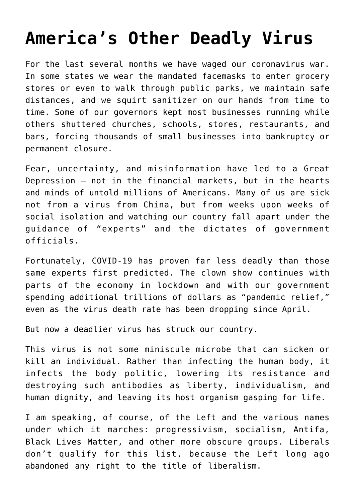# **[America's Other Deadly Virus](https://intellectualtakeout.org/2020/07/americas-other-deadly-virus/)**

For the last several months we have waged our coronavirus war. In some states we wear the mandated facemasks to enter grocery stores or even to walk through public parks, we maintain safe distances, and we squirt sanitizer on our hands from time to time. Some of our governors kept most businesses running while others shuttered churches, schools, stores, restaurants, and bars, forcing thousands of small businesses into bankruptcy or permanent closure.

Fear, uncertainty, and misinformation have led to a Great Depression – not in the financial markets, but in the hearts and minds of untold millions of Americans. Many of us are sick not from a virus from China, but from weeks upon weeks of social isolation and watching our country fall apart under the guidance of "experts" and the dictates of government officials.

Fortunately, COVID-19 has proven far less deadly than those same experts first predicted. The clown show continues with parts of the economy in lockdown and with our government spending additional trillions of dollars as "pandemic relief," even as the virus death rate has been dropping since April.

But now a deadlier virus has struck our country.

This virus is not some miniscule microbe that can sicken or kill an individual. Rather than infecting the human body, it infects the body politic, lowering its resistance and destroying such antibodies as liberty, individualism, and human dignity, and leaving its host organism gasping for life.

I am speaking, of course, of the Left and the various names under which it marches: progressivism, socialism, Antifa, Black Lives Matter, and other more obscure groups. Liberals don't qualify for this list, because the Left long ago abandoned any right to the title of liberalism.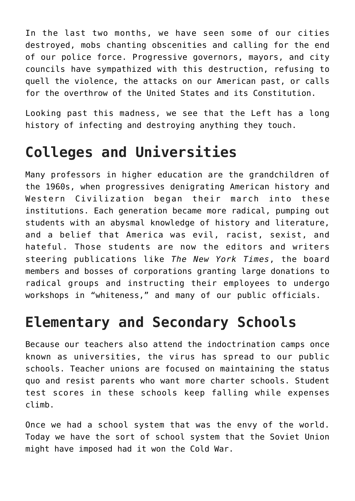In the last two months, we have seen some of our cities destroyed, mobs chanting obscenities and calling for the end of our police force. Progressive governors, mayors, and city councils have sympathized with this destruction, refusing to quell the violence, the attacks on our American past, or calls for the overthrow of the United States and its Constitution.

Looking past this madness, we see that the Left has a long history of infecting and destroying anything they touch.

# **Colleges and Universities**

Many professors in higher education are the grandchildren of the 1960s, when progressives denigrating American history and Western Civilization began their march into these institutions. Each generation became more radical, pumping out students with an abysmal knowledge of history and literature, and a belief that America was evil, racist, sexist, and hateful. Those students are now the editors and writers steering publications like *The New York Times*, the board members and bosses of corporations granting large donations to radical groups and instructing their employees to undergo workshops in "whiteness," and many of our public officials.

## **Elementary and Secondary Schools**

Because our teachers also attend the indoctrination camps once known as universities, the virus has spread to our public schools. Teacher unions are focused on maintaining the status quo and resist parents who want more charter schools. Student test scores in these schools keep falling while expenses climb.

Once we had a school system that was the envy of the world. Today we have the sort of school system that the Soviet Union might have imposed had it won the Cold War.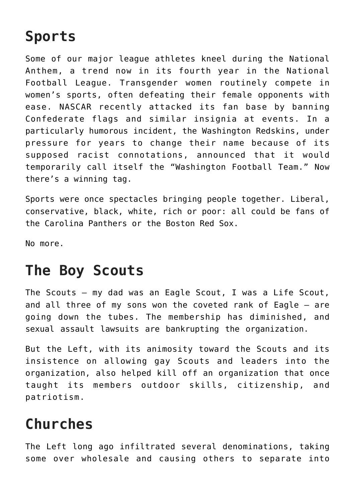## **Sports**

Some of our major league athletes kneel during the National Anthem, a trend now in its fourth year in the National Football League. Transgender women routinely compete in women's sports, often defeating their female opponents with ease. NASCAR recently attacked its fan base by banning Confederate flags and similar insignia at events. In a particularly humorous incident, the Washington Redskins, under pressure for years to change their name because of its supposed racist connotations, announced that it would temporarily call itself the "Washington Football Team." Now there's a winning tag.

Sports were once spectacles bringing people together. Liberal, conservative, black, white, rich or poor: all could be fans of the Carolina Panthers or the Boston Red Sox.

No more.

#### **The Boy Scouts**

The Scouts – my dad was an Eagle Scout, I was a Life Scout, and all three of my sons won the coveted rank of Eagle – are going down the tubes. The membership has diminished, and sexual assault lawsuits are bankrupting the organization.

But the Left, with its animosity toward the Scouts and its insistence on allowing gay Scouts and leaders into the organization, also helped kill off an organization that once taught its members outdoor skills, citizenship, and patriotism.

### **Churches**

The Left long ago infiltrated several denominations, taking some over wholesale and causing others to separate into